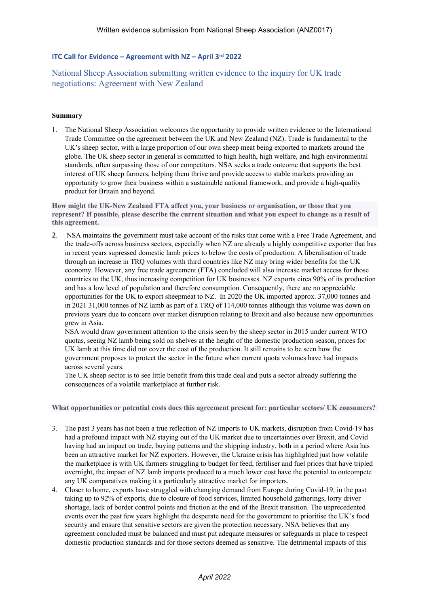## **ITC Call for Evidence – Agreement with NZ – April 3 rd 2022**

National Sheep Association submitting written evidence to the inquiry for UK trade negotiations: Agreement with New Zealand

## **Summary**

1. The National Sheep Association welcomes the opportunity to provide written evidence to the International Trade Committee on the agreement between the UK and New Zealand (NZ). Trade is fundamental to the UK's sheep sector, with a large proportion of our own sheep meat being exported to markets around the globe. The UK sheep sector in general is committed to high health, high welfare, and high environmental standards, often surpassing those of our competitors. NSA seeks a trade outcome that supports the best interest of UK sheep farmers, helping them thrive and provide access to stable markets providing an opportunity to grow their business within a sustainable national framework, and provide a high-quality product for Britain and beyond.

**How might the UK-New Zealand FTA affect you, your business or organisation, or those that you** represent? If possible, please describe the current situation and what you expect to change as a result of **this agreement.**

2. NSA maintains the government must take account of the risks that come with a Free Trade Agreement, and the trade-offs across business sectors, especially when NZ are already a highly competitive exporter that has in recent years supressed domestic lamb prices to below the costs of production. A liberalisation of trade through an increase in TRQ volumes with third countries like NZ may bring wider benefits for the UK economy. However, any free trade agreement (FTA) concluded will also increase market access for those countries to the UK, thus increasing competition for UK businesses. NZ exports circa 90% of its production and has a low level of population and therefore consumption. Consequently, there are no appreciable opportunities for the UK to export sheepmeat to NZ. In 2020 the UK imported approx. 37,000 tonnes and in 2021 31,000 tonnes of NZ lamb as part of a TRQ of 114,000 tonnes although this volume was down on previous years due to concern over market disruption relating to Brexit and also because new opportunities grew in Asia.

NSA would draw government attention to the crisis seen by the sheep sector in 2015 under current WTO quotas, seeing NZ lamb being sold on shelves at the height of the domestic production season, prices for UK lamb at this time did not cover the cost of the production. It still remains to be seen how the government proposes to protect the sector in the future when current quota volumes have had impacts across several years.

The UK sheep sector is to see little benefit from this trade deal and puts a sector already suffering the consequences of a volatile marketplace at further risk.

**What opportunities or potential costs does this agreement present for: particular sectors/ UK consumers?**

- 3. The past 3 years has not been a true reflection of NZ imports to UK markets, disruption from Covid-19 has had a profound impact with NZ staying out of the UK market due to uncertainties over Brexit, and Covid having had an impact on trade, buying patterns and the shipping industry, both in a period where Asia has been an attractive market for NZ exporters. However, the Ukraine crisis has highlighted just how volatile the marketplace is with UK farmers struggling to budget for feed, fertiliser and fuel prices that have tripled overnight, the impact of NZ lamb imports produced to a much lower cost have the potential to outcompete any UK comparatives making it a particularly attractive market for importers.
- 4. Closer to home, exports have struggled with changing demand from Europe during Covid-19, in the past taking up to 92% of exports, due to closure of food services, limited household gatherings, lorry driver shortage, lack of border control points and friction at the end of the Brexit transition. The unprecedented events over the past few years highlight the desperate need for the government to prioritise the UK's food security and ensure that sensitive sectors are given the protection necessary. NSA believes that any agreement concluded must be balanced and must put adequate measures or safeguards in place to respect domestic production standards and for those sectors deemed as sensitive. The detrimental impacts of this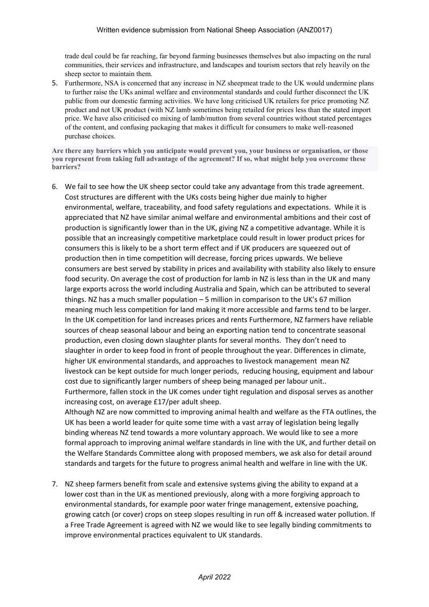trade deal could be far reaching, far beyond farming businesses themselves but also impacting on the rural communities, their services and infrastructure, and landscapes and tourism sectors that rely heavily on the sheep sector to maintain them.

5. Furthermore, NSA is concerned that any increase in NZ sheepmeat trade to the UK would undermine plans to further raise the UKs animal welfare and environmental standards and could further disconnect the UK public from our domestic farming activities. We have long criticised UK retailers for price promoting NZ product and not UK product (with NZ lamb sometimes being retailed for prices less than the stated import price. We have also criticised co mixing of lamb/mutton from several countries without stated percentages of the content, and confusing packaging that makes it difficult for consumers to make well-reasoned purchase choices.

**Are there any barriers which you anticipate would prevent you, your business or organisation, or those you represent from taking full advantage of the agreement? If so, what might help you overcome these barriers?**

6. We fail to see how the UK sheep sector could take any advantage from this trade agreement. Cost structures are different with the UKs costs being higher due mainly to higher environmental, welfare, traceability, and food safety regulations and expectations. While it is appreciated that NZ have similar animal welfare and environmental ambitions and their cost of production is significantly lower than in the UK, giving NZ a competitive advantage. While it is possible that an increasingly competitive marketplace could result in lower product prices for consumers this is likely to be a short term effect and if UK producers are squeezed out of production then in time competition will decrease, forcing prices upwards. We believe consumers are best served by stability in prices and availability with stability also likely to ensure food security. On average the cost of production for lamb in NZ is less than in the UK and many large exports across the world including Australia and Spain, which can be attributed to several things. NZ has a much smaller population – 5 million in comparison to the UK's 67 million meaning much less competition for land making it more accessible and farms tend to be larger. In the UK competition for land increases prices and rents Furthermore, NZ farmers have reliable sources of cheap seasonal labour and being an exporting nation tend to concentrate seasonal production, even closing down slaughter plants for several months. They don't need to slaughter in order to keep food in front of people throughout the year. Differences in climate, higher UK environmental standards, and approaches to livestock management mean NZ livestock can be kept outside for much longer periods, reducing housing, equipment and labour cost due to significantly larger numbers of sheep being managed per labour unit.. Furthermore, fallen stock in the UK comes under tight regulation and disposal serves as another increasing cost, on average £17/per adult sheep.

Although NZ are now committed to improving animal health and welfare as the FTA outlines, the UK has been a world leader for quite some time with a vast array of legislation being legally binding whereas NZ tend towards a more voluntary approach. We would like to see a more formal approach to improving animal welfare standards in line with the UK, and further detail on the Welfare Standards Committee along with proposed members, we ask also for detail around standards and targets for the future to progress animal health and welfare in line with the UK.

7. NZ sheep farmers benefit from scale and extensive systems giving the ability to expand at a lower cost than in the UK as mentioned previously, along with a more forgiving approach to environmental standards, for example poor water fringe management, extensive poaching, growing catch (or cover) crops on steep slopes resulting in run off & increased water pollution. If a Free Trade Agreement is agreed with NZ we would like to see legally binding commitments to improve environmental practices equivalent to UK standards.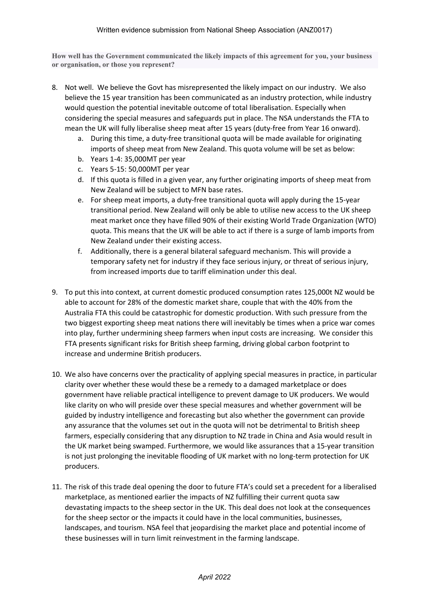**How well has the Government communicated the likely impacts of this agreement for you, your business or organisation, or those you represent?**

- 8. Not well. We believe the Govt has misrepresented the likely impact on our industry. We also believe the 15 year transition has been communicated as an industry protection, while industry would question the potential inevitable outcome of total liberalisation. Especially when considering the special measures and safeguards put in place. The NSA understands the FTA to mean the UK will fully liberalise sheep meat after 15 years (duty-free from Year 16 onward).
	- a. During this time, a duty-free transitional quota will be made available for originating imports of sheep meat from New Zealand. This quota volume will be set as below:
	- b. Years 1-4: 35,000MT per year
	- c. Years 5-15: 50,000MT per year
	- d. If this quota is filled in a given year, any further originating imports of sheep meat from New Zealand will be subject to MFN base rates.
	- e. For sheep meat imports, a duty-free transitional quota will apply during the 15-year transitional period. New Zealand will only be able to utilise new access to the UK sheep meat market once they have filled 90% of their existing World Trade Organization (WTO) quota. This means that the UK will be able to act if there is a surge of lamb imports from New Zealand under their existing access.
	- f. Additionally, there is a general bilateral safeguard mechanism. This will provide a temporary safety net for industry if they face serious injury, or threat of serious injury, from increased imports due to tariff elimination under this deal.
- 9. To put this into context, at current domestic produced consumption rates 125,000t NZ would be able to account for 28% of the domestic market share, couple that with the 40% from the Australia FTA this could be catastrophic for domestic production. With such pressure from the two biggest exporting sheep meat nations there will inevitably be times when a price war comes into play, further undermining sheep farmers when input costs are increasing. We consider this FTA presents significant risks for British sheep farming, driving global carbon footprint to increase and undermine British producers.
- 10. We also have concerns over the practicality of applying special measures in practice, in particular clarity over whether these would these be a remedy to a damaged marketplace or does government have reliable practical intelligence to prevent damage to UK producers. We would like clarity on who will preside over these special measures and whether government will be guided by industry intelligence and forecasting but also whether the government can provide any assurance that the volumes set out in the quota will not be detrimental to British sheep farmers, especially considering that any disruption to NZ trade in China and Asia would result in the UK market being swamped. Furthermore, we would like assurances that a 15-year transition is not just prolonging the inevitable flooding of UK market with no long-term protection for UK producers.
- 11. The risk of this trade deal opening the door to future FTA's could set a precedent for a liberalised marketplace, as mentioned earlier the impacts of NZ fulfilling their current quota saw devastating impacts to the sheep sector in the UK. This deal does not look at the consequences for the sheep sector or the impacts it could have in the local communities, businesses, landscapes, and tourism. NSA feel that jeopardising the market place and potential income of these businesses will in turn limit reinvestment in the farming landscape.